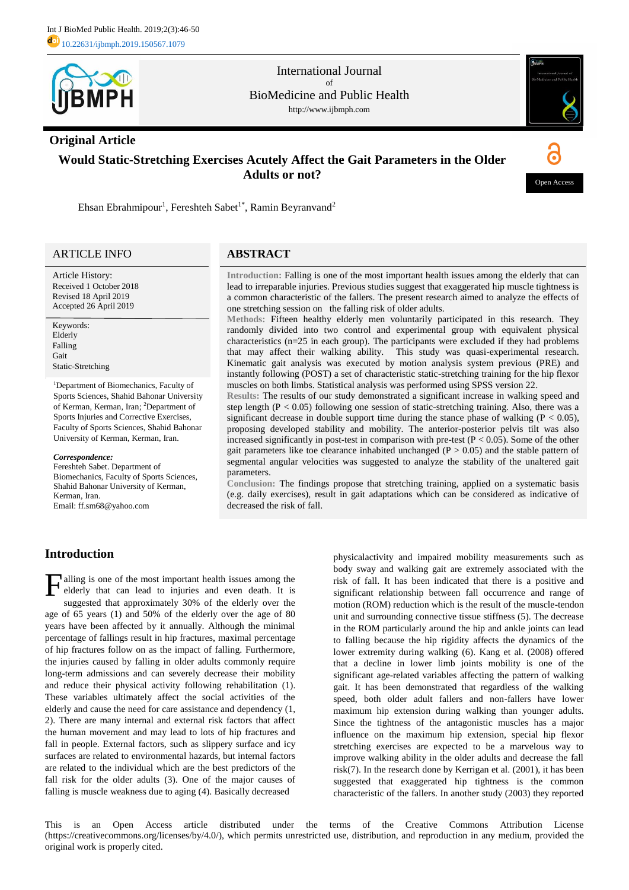

International Journal of BioMedicine and Public Health http://www.ijbmph.com

## **Original Article**



# **Would Static-Stretching Exercises Acutely Affect the Gait Parameters in the Older Adults or not?**



Ehsan Ebrahmipour<sup>1</sup>, Fereshteh Sabet<sup>1\*</sup>, Ramin Beyranvand<sup>2</sup>

## ARTICLE INFO

Article History: Received 1 October 2018 Revised 18 April 2019 Accepted 26 April 2019

Keywords: Elderly Falling Gait Static-Stretching

<sup>1</sup>Department of Biomechanics, Faculty of Sports Sciences, Shahid Bahonar University of Kerman, Kerman, Iran; <sup>2</sup>Department of Sports Injuries and Corrective Exercises, Faculty of Sports Sciences, Shahid Bahonar University of Kerman, Kerman, Iran.

#### *Correspondence:*

Fereshteh Sabet. Department of Biomechanics, Faculty of Sports Sciences, Shahid Bahonar University of Kerman, Kerman, Iran. Email: ff.sm68@yahoo.com

## **ABSTRACT**

**Introduction:** Falling is one of the most important health issues among the elderly that can lead to irreparable injuries. Previous studies suggest that exaggerated hip muscle tightness is a common characteristic of the fallers. The present research aimed to analyze the effects of one stretching session on the falling risk of older adults.

**Methods:** Fifteen healthy elderly men voluntarily participated in this research. They randomly divided into two control and experimental group with equivalent physical characteristics (n=25 in each group). The participants were excluded if they had problems that may affect their walking ability. This study was quasi-experimental research. Kinematic gait analysis was executed by motion analysis system previous (PRE) and instantly following (POST) a set of characteristic static-stretching training for the hip flexor muscles on both limbs. Statistical analysis was performed using SPSS version 22.

**Results:** The results of our study demonstrated a significant increase in walking speed and step length ( $P < 0.05$ ) following one session of static-stretching training. Also, there was a significant decrease in double support time during the stance phase of walking ( $P < 0.05$ ), proposing developed stability and mobility. The anterior-posterior pelvis tilt was also increased significantly in post-test in comparison with pre-test  $(P < 0.05)$ . Some of the other gait parameters like toe clearance inhabited unchanged ( $P > 0.05$ ) and the stable pattern of segmental angular velocities was suggested to analyze the stability of the unaltered gait parameters.

**Conclusion:** The findings propose that stretching training, applied on a systematic basis (e.g. daily exercises), result in gait adaptations which can be considered as indicative of decreased the risk of fall.

## **Introduction**

alling is one of the most important health issues among the elderly that can lead to injuries and even death. It is suggested that approximately 30% of the elderly over the age of 65 years (1) and 50% of the elderly over the age of 80 years have been affected by it annually. Although the minimal percentage of fallings result in hip fractures, maximal percentage of hip fractures follow on as the impact of falling. Furthermore, the injuries caused by falling in older adults commonly require long-term admissions and can severely decrease their mobility and reduce their physical activity following rehabilitation (1). These variables ultimately affect the social activities of the elderly and cause the need for care assistance and dependency (1, 2). There are many internal and external risk factors that affect the human movement and may lead to lots of hip fractures and fall in people. External factors, such as slippery surface and icy surfaces are related to environmental hazards, but internal factors are related to the individual which are the best predictors of the fall risk for the older adults (3). One of the major causes of falling is muscle weakness due to aging (4). Basically decreased F

physicalactivity and impaired mobility measurements such as body sway and walking gait are extremely associated with the risk of fall. It has been indicated that there is a positive and significant relationship between fall occurrence and range of motion (ROM) reduction which is the result of the muscle-tendon unit and surrounding connective tissue stiffness (5). The decrease in the ROM particularly around the hip and ankle joints can lead to falling because the hip rigidity affects the dynamics of the lower extremity during walking (6). Kang et al. (2008) offered that a decline in lower limb joints mobility is one of the significant age-related variables affecting the pattern of walking gait. It has been demonstrated that regardless of the walking speed, both older adult fallers and non-fallers have lower maximum hip extension during walking than younger adults. Since the tightness of the antagonistic muscles has a major influence on the maximum hip extension, special hip flexor stretching exercises are expected to be a marvelous way to improve walking ability in the older adults and decrease the fall risk(7). In the research done by Kerrigan et al. (2001), it has been suggested that exaggerated hip tightness is the common characteristic of the fallers. In another study (2003) they reported

This is an Open Access article distributed under the terms of the Creative Commons Attribution License (https://creativecommons.org/licenses/by/4.0/), which permits unrestricted use, distribution, and reproduction in any medium, provided the original work is properly cited.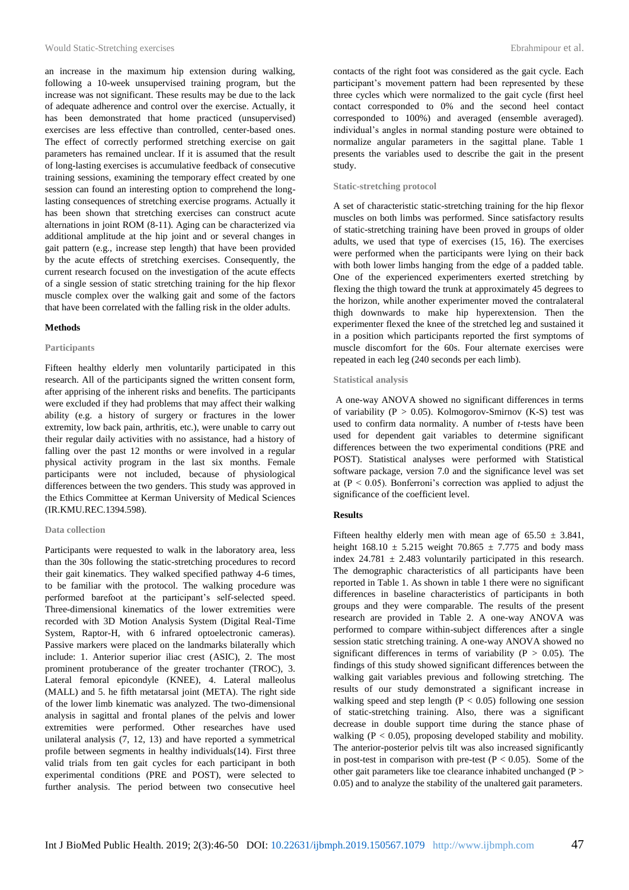an increase in the maximum hip extension during walking, following a 10-week unsupervised training program, but the increase was not significant. These results may be due to the lack of adequate adherence and control over the exercise. Actually, it has been demonstrated that home practiced (unsupervised) exercises are less effective than controlled, center-based ones. The effect of correctly performed stretching exercise on gait parameters has remained unclear. If it is assumed that the result of long-lasting exercises is accumulative feedback of consecutive training sessions, examining the temporary effect created by one session can found an interesting option to comprehend the longlasting consequences of stretching exercise programs. Actually it has been shown that stretching exercises can construct acute alternations in joint ROM (8-11). Aging can be characterized via additional amplitude at the hip joint and or several changes in gait pattern (e.g., increase step length) that have been provided by the acute effects of stretching exercises. Consequently, the current research focused on the investigation of the acute effects of a single session of static stretching training for the hip flexor muscle complex over the walking gait and some of the factors that have been correlated with the falling risk in the older adults.

## **Methods**

## **Participants**

Fifteen healthy elderly men voluntarily participated in this research. All of the participants signed the written consent form, after apprising of the inherent risks and benefits. The participants were excluded if they had problems that may affect their walking ability (e.g. a history of surgery or fractures in the lower extremity, low back pain, arthritis, etc.), were unable to carry out their regular daily activities with no assistance, had a history of falling over the past 12 months or were involved in a regular physical activity program in the last six months. Female participants were not included, because of physiological differences between the two genders. This study was approved in the Ethics Committee at Kerman University of Medical Sciences (IR.KMU.REC.1394.598).

## **Data collection**

Participants were requested to walk in the laboratory area, less than the 30s following the static-stretching procedures to record their gait kinematics. They walked specified pathway 4-6 times, to be familiar with the protocol. The walking procedure was performed barefoot at the participant's self-selected speed. Three-dimensional kinematics of the lower extremities were recorded with 3D Motion Analysis System (Digital Real-Time System, Raptor-H, with 6 infrared optoelectronic cameras). Passive markers were placed on the landmarks bilaterally which include: 1. Anterior superior iliac crest (ASIC), 2. The most prominent protuberance of the greater trochanter (TROC), 3. Lateral femoral epicondyle (KNEE), 4. Lateral malleolus (MALL) and 5. he fifth metatarsal joint (META). The right side of the lower limb kinematic was analyzed. The two-dimensional analysis in sagittal and frontal planes of the pelvis and lower extremities were performed. Other researches have used unilateral analysis (7, 12, 13) and have reported a symmetrical profile between segments in healthy individuals(14). First three valid trials from ten gait cycles for each participant in both experimental conditions (PRE and POST), were selected to further analysis. The period between two consecutive heel

contacts of the right foot was considered as the gait cycle. Each participant's movement pattern had been represented by these three cycles which were normalized to the gait cycle (first heel contact corresponded to 0% and the second heel contact corresponded to 100%) and averaged (ensemble averaged). individual's angles in normal standing posture were obtained to normalize angular parameters in the sagittal plane. Table 1 presents the variables used to describe the gait in the present study.

## **Static-stretching protocol**

A set of characteristic static-stretching training for the hip flexor muscles on both limbs was performed. Since satisfactory results of static-stretching training have been proved in groups of older adults, we used that type of exercises (15, 16). The exercises were performed when the participants were lying on their back with both lower limbs hanging from the edge of a padded table. One of the experienced experimenters exerted stretching by flexing the thigh toward the trunk at approximately 45 degrees to the horizon, while another experimenter moved the contralateral thigh downwards to make hip hyperextension. Then the experimenter flexed the knee of the stretched leg and sustained it in a position which participants reported the first symptoms of muscle discomfort for the 60s. Four alternate exercises were repeated in each leg (240 seconds per each limb).

## **Statistical analysis**

A one-way ANOVA showed no significant differences in terms of variability ( $P > 0.05$ ). Kolmogorov-Smirnov (K-S) test was used to confirm data normality. A number of *t*-tests have been used for dependent gait variables to determine significant differences between the two experimental conditions (PRE and POST). Statistical analyses were performed with Statistical software package, version 7.0 and the significance level was set at ( $P < 0.05$ ). Bonferroni's correction was applied to adjust the significance of the coefficient level.

#### **Results**

Fifteen healthy elderly men with mean age of  $65.50 \pm 3.841$ , height  $168.10 \pm 5.215$  weight  $70.865 \pm 7.775$  and body mass index  $24.781 \pm 2.483$  voluntarily participated in this research. The demographic characteristics of all participants have been reported in Table 1. As shown in table 1 there were no significant differences in baseline characteristics of participants in both groups and they were comparable. The results of the present research are provided in Table 2. A one-way ANOVA was performed to compare within-subject differences after a single session static stretching training. A one-way ANOVA showed no significant differences in terms of variability ( $P > 0.05$ ). The findings of this study showed significant differences between the walking gait variables previous and following stretching. The results of our study demonstrated a significant increase in walking speed and step length  $(P < 0.05)$  following one session of static-stretching training. Also, there was a significant decrease in double support time during the stance phase of walking  $(P < 0.05)$ , proposing developed stability and mobility. The anterior-posterior pelvis tilt was also increased significantly in post-test in comparison with pre-test  $(P < 0.05)$ . Some of the other gait parameters like toe clearance inhabited unchanged ( $P >$ 0.05) and to analyze the stability of the unaltered gait parameters.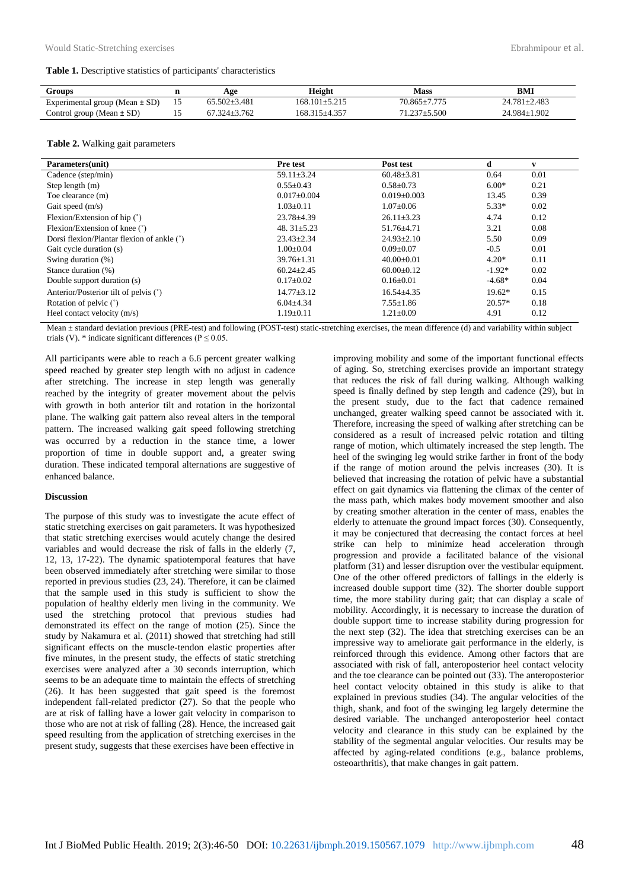#### **Table 1.** Descriptive statistics of participants' characteristics

| Groups                         | Age                | Height              | <b>Mass</b>        | BMI              |
|--------------------------------|--------------------|---------------------|--------------------|------------------|
| Experimental group (Mean ± SD) | $65.502 + 3.481$   | 168.101+5.215       | $70.865 \pm 7.775$ | $24.781 + 2.483$ |
| Control group (Mean $\pm$ SD)  | $67.324 \pm 3.762$ | $168.315 \pm 4.357$ | $71.237 \pm 5.500$ | 24.984±1.902     |

#### **Table 2.** Walking gait parameters

| Parameters(unit)                           | Pre test          | Post test         | d        | v    |
|--------------------------------------------|-------------------|-------------------|----------|------|
| Cadence (step/min)                         | $59.11 \pm 3.24$  | $60.48 \pm 3.81$  | 0.64     | 0.01 |
| Step length $(m)$                          | $0.55 \pm 0.43$   | $0.58 \pm 0.73$   | $6.00*$  | 0.21 |
| Toe clearance (m)                          | $0.017 \pm 0.004$ | $0.019 \pm 0.003$ | 13.45    | 0.39 |
| Gait speed $(m/s)$                         | $1.03 \pm 0.11$   | $1.07 \pm 0.06$   | $5.33*$  | 0.02 |
| Flexion/Extension of hip $(°)$             | $23.78 \pm 4.39$  | $26.11 \pm 3.23$  | 4.74     | 0.12 |
| Flexion/Extension of knee (°)              | 48. $31\pm5.23$   | $51.76 \pm 4.71$  | 3.21     | 0.08 |
| Dorsi flexion/Plantar flexion of ankle (°) | $23.43 \pm 2.34$  | $24.93 \pm 2.10$  | 5.50     | 0.09 |
| Gait cycle duration (s)                    | $1.00 \pm 0.04$   | $0.09 + 0.07$     | $-0.5$   | 0.01 |
| Swing duration (%)                         | $39.76 \pm 1.31$  | $40.00 \pm 0.01$  | $4.20*$  | 0.11 |
| Stance duration (%)                        | $60.24 \pm 2.45$  | $60.00 \pm 0.12$  | $-1.92*$ | 0.02 |
| Double support duration (s)                | $0.17 \pm 0.02$   | $0.16 \pm 0.01$   | $-4.68*$ | 0.04 |
| Anterior/Posterior tilt of pelvis (°)      | $14.77 \pm 3.12$  | $16.54 \pm 4.35$  | $19.62*$ | 0.15 |
| Rotation of pelvic (°)                     | $6.04{\pm}4.34$   | $7.55 \pm 1.86$   | $20.57*$ | 0.18 |
| Heel contact velocity $(m/s)$              | $1.19 \pm 0.11$   | $1.21 \pm 0.09$   | 4.91     | 0.12 |

Mean  $\pm$  standard deviation previous (PRE-test) and following (POST-test) static-stretching exercises, the mean difference (d) and variability within subject trials (V). \* indicate significant differences ( $P \le 0.05$ .

All participants were able to reach a 6.6 percent greater walking speed reached by greater step length with no adjust in cadence after stretching. The increase in step length was generally reached by the integrity of greater movement about the pelvis with growth in both anterior tilt and rotation in the horizontal plane. The walking gait pattern also reveal alters in the temporal pattern. The increased walking gait speed following stretching was occurred by a reduction in the stance time, a lower proportion of time in double support and, a greater swing duration. These indicated temporal alternations are suggestive of enhanced balance.

#### **Discussion**

The purpose of this study was to investigate the acute effect of static stretching exercises on gait parameters. It was hypothesized that static stretching exercises would acutely change the desired variables and would decrease the risk of falls in the elderly (7, 12, 13, 17-22). The dynamic spatiotemporal features that have been observed immediately after stretching were similar to those reported in previous studies (23, 24). Therefore, it can be claimed that the sample used in this study is sufficient to show the population of healthy elderly men living in the community. We used the stretching protocol that previous studies had demonstrated its effect on the range of motion (25). Since the study by Nakamura et al. (2011) showed that stretching had still significant effects on the muscle-tendon elastic properties after five minutes, in the present study, the effects of static stretching exercises were analyzed after a 30 seconds interruption, which seems to be an adequate time to maintain the effects of stretching (26). It has been suggested that gait speed is the foremost independent fall-related predictor (27). So that the people who are at risk of falling have a lower gait velocity in comparison to those who are not at risk of falling (28). Hence, the increased gait speed resulting from the application of stretching exercises in the present study, suggests that these exercises have been effective in

improving mobility and some of the important functional effects of aging. So, stretching exercises provide an important strategy that reduces the risk of fall during walking. Although walking speed is finally defined by step length and cadence (29), but in the present study, due to the fact that cadence remained unchanged, greater walking speed cannot be associated with it. Therefore, increasing the speed of walking after stretching can be considered as a result of increased pelvic rotation and tilting range of motion, which ultimately increased the step length. The heel of the swinging leg would strike farther in front of the body if the range of motion around the pelvis increases (30). It is believed that increasing the rotation of pelvic have a substantial effect on gait dynamics via flattening the climax of the center of the mass path, which makes body movement smoother and also by creating smother alteration in the center of mass, enables the elderly to attenuate the ground impact forces (30). Consequently, it may be conjectured that decreasing the contact forces at heel strike can help to minimize head acceleration through progression and provide a facilitated balance of the visional platform (31) and lesser disruption over the vestibular equipment. One of the other offered predictors of fallings in the elderly is increased double support time (32). The shorter double support time, the more stability during gait; that can display a scale of mobility. Accordingly, it is necessary to increase the duration of double support time to increase stability during progression for the next step (32). The idea that stretching exercises can be an impressive way to ameliorate gait performance in the elderly, is reinforced through this evidence. Among other factors that are associated with risk of fall, anteroposterior heel contact velocity and the toe clearance can be pointed out (33). The anteroposterior heel contact velocity obtained in this study is alike to that explained in previous studies (34). The angular velocities of the thigh, shank, and foot of the swinging leg largely determine the desired variable. The unchanged anteroposterior heel contact velocity and clearance in this study can be explained by the stability of the segmental angular velocities. Our results may be affected by aging-related conditions (e.g., balance problems, osteoarthritis), that make changes in gait pattern.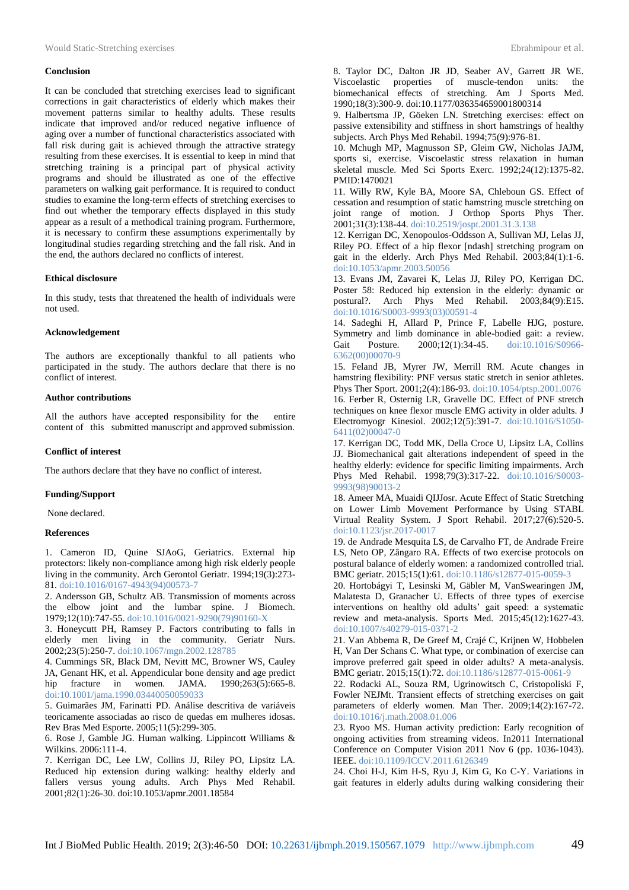#### **Conclusion**

It can be concluded that stretching exercises lead to significant corrections in gait characteristics of elderly which makes their movement patterns similar to healthy adults. These results indicate that improved and/or reduced negative influence of aging over a number of functional characteristics associated with fall risk during gait is achieved through the attractive strategy resulting from these exercises. It is essential to keep in mind that stretching training is a principal part of physical activity programs and should be illustrated as one of the effective parameters on walking gait performance. It is required to conduct studies to examine the long-term effects of stretching exercises to find out whether the temporary effects displayed in this study appear as a result of a methodical training program. Furthermore, it is necessary to confirm these assumptions experimentally by longitudinal studies regarding stretching and the fall risk. And in the end, the authors declared no conflicts of interest.

#### **Ethical disclosure**

In this study, tests that threatened the health of individuals were not used.

## **Acknowledgement**

The authors are exceptionally thankful to all patients who participated in the study. The authors declare that there is no conflict of interest.

## **Author contributions**

All the authors have accepted responsibility for the entire content of this submitted manuscript and approved submission.

### **Conflict of interest**

The authors declare that they have no conflict of interest.

#### **Funding/Support**

None declared.

#### **References**

1. Cameron ID, Quine SJAoG, Geriatrics. External hip protectors: likely non-compliance among high risk elderly people living in the community. Arch Gerontol Geriatr. 1994;19(3):273- 81. [doi:10.1016/0167-4943\(94\)00573-7](https://www.sciencedirect.com/science/article/abs/pii/0167494394005737)

2. Andersson GB, Schultz AB. Transmission of moments across the elbow joint and the lumbar spine. J Biomech. 1979;12(10):747-55[. doi:10.1016/0021-9290\(79\)90160-X](https://www.sciencedirect.com/science/article/abs/pii/002192907990160X)

3. Honeycutt PH, Ramsey P. Factors contributing to falls in elderly men living in the community. Geriatr Nurs. 2002;23(5):250-7[. doi:10.1067/mgn.2002.128785](https://www.sciencedirect.com/science/article/abs/pii/S0197457202000320)

4. Cummings SR, Black DM, Nevitt MC, Browner WS, Cauley JA, Genant HK, et al. Appendicular bone density and age predict hip fracture in women. JAMA. 1990;263(5):665-8. doi:10.1001/jama.1990.03440050059033

5. Guimarães JM, Farinatti PD. Análise descritiva de variáveis teoricamente associadas ao risco de quedas em mulheres idosas. Rev Bras Med Esporte. 2005;11(5):299-305.

6. Rose J, Gamble JG. Human walking. Lippincott Williams & Wilkins. 2006:111-4.

7. Kerrigan DC, Lee LW, Collins JJ, Riley PO, Lipsitz LA. Reduced hip extension during walking: healthy elderly and fallers versus young adults. Arch Phys Med Rehabil. 2001;82(1):26-30[. doi:10.1053/apmr.2001.18584](https://www.sciencedirect.com/science/article/abs/pii/S0003999301808339)

8. Taylor DC, Dalton JR JD, Seaber AV, Garrett JR WE. Viscoelastic properties of muscle-tendon units: the biomechanical effects of stretching. Am J Sports Med. 1990;18(3):300-9[. doi:10.1177/036354659001800314](https://journals.sagepub.com/doi/abs/10.1177/036354659001800314)

9. Halbertsma JP, Göeken LN. Stretching exercises: effect on passive extensibility and stiffness in short hamstrings of healthy subjects. Arch Phys Med Rehabil. 1994;75(9):976-81.

10. Mchugh MP, Magnusson SP, Gleim GW, Nicholas JAJM, sports si, exercise. Viscoelastic stress relaxation in human skeletal muscle. Med Sci Sports Exerc. 1992;24(12):1375-82. PMID:1470021

11. Willy RW, Kyle BA, Moore SA, Chleboun GS. Effect of cessation and resumption of static hamstring muscle stretching on joint range of motion. J Orthop Sports Phys Ther. 2001;31(3):138-44. doi:10.2519/jospt.2001.31.3.138

12. Kerrigan DC, Xenopoulos-Oddsson A, Sullivan MJ, Lelas JJ, Riley PO. Effect of a hip flexor [ndash] stretching program on gait in the elderly. Arch Phys Med Rehabil. 2003;84(1):1-6. [doi:10.1053/apmr.2003.50056](https://www.sciencedirect.com/science/article/abs/pii/S0003999302048748)

13. Evans JM, Zavarei K, Lelas JJ, Riley PO, Kerrigan DC. Poster 58: Reduced hip extension in the elderly: dynamic or postural?. Arch Phys Med Rehabil. 2003;84(9):E15. [doi:10.1016/S0003-9993\(03\)00591-4](https://www.archives-pmr.org/article/S0003-9993(03)00591-4/abstract)

14. Sadeghi H, Allard P, Prince F, Labelle HJG, posture. Symmetry and limb dominance in able-bodied gait: a review. Gait Posture. 2000;12(1):34-45. [doi:10.1016/S0966-](https://www.sciencedirect.com/science/article/abs/pii/S0966636200000709) [6362\(00\)00070-9](https://www.sciencedirect.com/science/article/abs/pii/S0966636200000709)

15. Feland JB, Myrer JW, Merrill RM. Acute changes in hamstring flexibility: PNF versus static stretch in senior athletes. Phys Ther Sport. 2001;2(4):186-93[. doi:10.1054/ptsp.2001.0076](https://www.sciencedirect.com/science/article/abs/pii/S1466853X01900768) 16. Ferber R, Osternig LR, Gravelle DC. Effect of PNF stretch techniques on knee flexor muscle EMG activity in older adults. J Electromyogr Kinesiol. 2002;12(5):391-7. [doi:10.1016/S1050-](https://www.sciencedirect.com/science/article/pii/S1050641102000470) [6411\(02\)00047-0](https://www.sciencedirect.com/science/article/pii/S1050641102000470)

17. Kerrigan DC, Todd MK, Della Croce U, Lipsitz LA, Collins JJ. Biomechanical gait alterations independent of speed in the healthy elderly: evidence for specific limiting impairments. Arch Phys Med Rehabil. 1998;79(3):317-22. [doi:10.1016/S0003-](https://www.sciencedirect.com/science/article/abs/pii/S0003999398900132) [9993\(98\)90013-2](https://www.sciencedirect.com/science/article/abs/pii/S0003999398900132)

18. Ameer MA, Muaidi QIJJosr. Acute Effect of Static Stretching on Lower Limb Movement Performance by Using STABL Virtual Reality System. J Sport Rehabil. 2017;27(6):520-5. [doi:10.1123/jsr.2017-0017](https://journals.humankinetics.com/doi/abs/10.1123/jsr.2017-0017)

19. de Andrade Mesquita LS, de Carvalho FT, de Andrade Freire LS, Neto OP, Zângaro RA. Effects of two exercise protocols on postural balance of elderly women: a randomized controlled trial. BMC geriatr. 2015;15(1):61[. doi:10.1186/s12877-015-0059-3](https://bmcgeriatr.biomedcentral.com/articles/10.1186/s12877-015-0059-3)

20. Hortobágyi T, Lesinski M, Gäbler M, VanSwearingen JM, Malatesta D, Granacher U. Effects of three types of exercise interventions on healthy old adults' gait speed: a systematic review and meta-analysis. Sports Med. 2015;45(12):1627-43. doi:10.1007/s40279-015-0371-2

21. Van Abbema R, De Greef M, Crajé C, Krijnen W, Hobbelen H, Van Der Schans C. What type, or combination of exercise can improve preferred gait speed in older adults? A meta-analysis. BMC geriatr. 2015;15(1):72[. doi:10.1186/s12877-015-0061-9](https://bmcgeriatr.biomedcentral.com/articles/10.1186/s12877-015-0061-9)

22. Rodacki AL, Souza RM, Ugrinowitsch C, Cristopoliski F, Fowler NEJMt. Transient effects of stretching exercises on gait parameters of elderly women. Man Ther. 2009;14(2):167-72. [doi:10.1016/j.math.2008.01.006](https://www.sciencedirect.com/science/article/abs/pii/S1356689X08000258)

23. Ryoo MS. Human activity prediction: Early recognition of ongoing activities from streaming videos. In2011 International Conference on Computer Vision 2011 Nov 6 (pp. 1036-1043). IEEE. do[i:10.1109/ICCV.2011.6126349](https://doi.org/10.1109/ICCV.2011.6126349)

24. Choi H-J, Kim H-S, Ryu J, Kim G, Ko C-Y. Variations in gait features in elderly adults during walking considering their